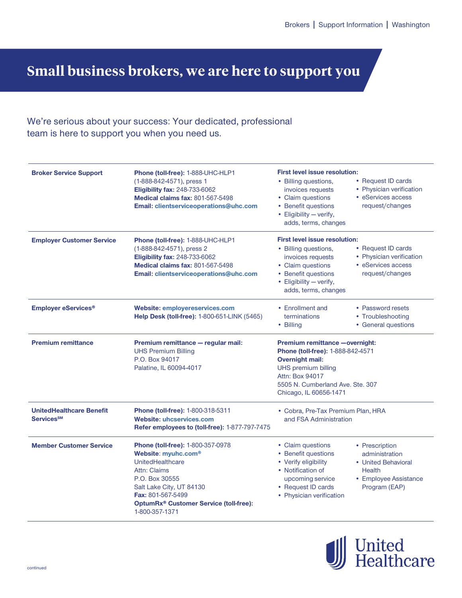## **Small business brokers, we are here to support you**

## We're serious about your success: Your dedicated, professional team is here to support you when you need us.

| <b>Broker Service Support</b>                                    | Phone (toll-free): 1-888-UHC-HLP1<br>(1-888-842-4571), press 1<br><b>Eligibility fax: 248-733-6062</b><br><b>Medical claims fax: 801-567-5498</b><br>Email: clientserviceoperations@uhc.com                                                    | <b>First level issue resolution:</b><br>• Billing questions,<br>• Request ID cards<br>• Physician verification<br>invoices requests<br>• eServices access<br>• Claim questions<br>• Benefit questions<br>request/changes<br>• Eligibility - verify,<br>adds, terms, changes       |  |
|------------------------------------------------------------------|------------------------------------------------------------------------------------------------------------------------------------------------------------------------------------------------------------------------------------------------|-----------------------------------------------------------------------------------------------------------------------------------------------------------------------------------------------------------------------------------------------------------------------------------|--|
| <b>Employer Customer Service</b>                                 | Phone (toll-free): 1-888-UHC-HLP1<br>(1-888-842-4571), press 2<br><b>Eligibility fax: 248-733-6062</b><br>Medical claims fax: 801-567-5498<br>Email: clientserviceoperations@uhc.com                                                           | <b>First level issue resolution:</b><br>• Billing questions,<br>• Request ID cards<br>• Physician verification<br>invoices requests<br>• eServices access<br>• Claim questions<br>• Benefit questions<br>request/changes<br>• Eligibility - verify,<br>adds, terms, changes       |  |
| <b>Employer eServices<sup>®</sup></b>                            | <b>Website: employereservices.com</b><br>Help Desk (toll-free): 1-800-651-LINK (5465)                                                                                                                                                          | • Enrollment and<br>• Password resets<br>terminations<br>• Troubleshooting<br>• Billing<br>• General questions                                                                                                                                                                    |  |
| <b>Premium remittance</b>                                        | Premium remittance - regular mail:<br><b>UHS Premium Billing</b><br>P.O. Box 94017<br>Palatine, IL 60094-4017                                                                                                                                  | Premium remittance - overnight:<br>Phone (toll-free): 1-888-842-4571<br><b>Overnight mail:</b><br><b>UHS premium billing</b><br><b>Attn: Box 94017</b><br>5505 N. Cumberland Ave. Ste. 307<br>Chicago, IL 60656-1471                                                              |  |
| <b>UnitedHealthcare Benefit</b><br><b>Services</b> <sup>SM</sup> | Phone (toll-free): 1-800-318-5311<br><b>Website: uhcservices.com</b><br>Refer employees to (toll-free): 1-877-797-7475                                                                                                                         | • Cobra, Pre-Tax Premium Plan, HRA<br>and FSA Administration                                                                                                                                                                                                                      |  |
| <b>Member Customer Service</b>                                   | Phone (toll-free): 1-800-357-0978<br>Website: myuhc.com®<br>UnitedHealthcare<br><b>Attn: Claims</b><br>P.O. Box 30555<br>Salt Lake City, UT 84130<br>Fax: 801-567-5499<br>OptumRx <sup>®</sup> Customer Service (toll-free):<br>1-800-357-1371 | • Claim questions<br>• Prescription<br>• Benefit questions<br>administration<br>• Verify eligibility<br>• United Behavioral<br>• Notification of<br><b>Health</b><br>• Employee Assistance<br>upcoming service<br>• Request ID cards<br>Program (EAP)<br>• Physician verification |  |